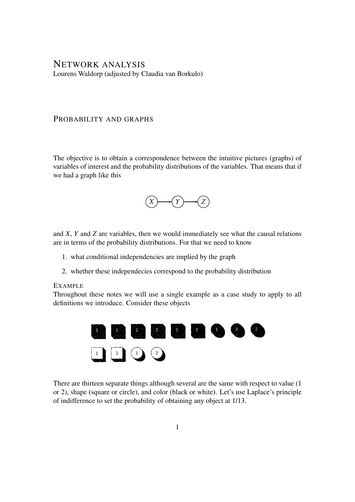# NETWORK ANALYSIS Lourens Waldorp (adjusted by Claudia van Borkulo)

# PROBABILITY AND GRAPHS

The objective is to obtain a correspondence between the intuitive pictures (graphs) of variables of interest and the probability distributions of the variables. That means that if we had a graph like this



and *X*, *Y* and *Z* are variables, then we would immediately see what the causal relations are in terms of the probability distributions. For that we need to know

- 1. what conditional independencies are implied by the graph
- 2. whether these independecies correspond to the probability distribution

# EXAMPLE

Throughout these notes we will use a single example as a case study to apply to all definitions we introduce. Consider these objects



There are thirteen separate things although several are the same with respect to value (1 or 2), shape (square or circle), and color (black or white). Let's use Laplace's principle of indifference to set the probability of obtaining any object at 1/13.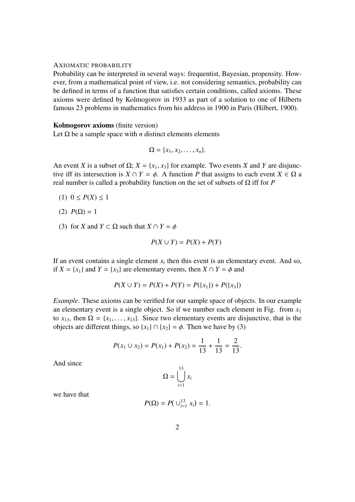#### AXIOMATIC PROBABILITY

Probability can be interpreted in several ways: frequentist, Bayesian, propensity. However, from a mathematical point of view, i.e. not considering semantics, probability can be defined in terms of a function that satisfies certain conditions, called axioms. These axioms were defined by Kolmogorov in 1933 as part of a solution to one of Hilberts famous 23 problems in mathematics from his address in 1900 in Paris (Hilbert, 1900).

### Kolmogorov axioms (finite version)

Let  $\Omega$  be a sample space with *n* distinct elements elements

$$
\Omega = \{x_1, x_2, \ldots, x_n\}.
$$

An event *X* is a subset of  $\Omega$ ;  $X = \{x_1, x_3\}$  for example. Two events *X* and *Y* are disjunctive iff its intersection is  $X \cap Y = \phi$ . A function P that assigns to each event  $X \in \Omega$  a real number is called a probability function on the set of subsets of Ω iff for *P*

- (1)  $0 \leq P(X) \leq 1$
- (2)  $P$ (Ω) = 1
- (3) for *X* and  $Y \subset \Omega$  such that  $X \cap Y = \phi$

$$
P(X \cup Y) = P(X) + P(Y)
$$

If an event contains a single element  $x_i$  then this event is an elementary event. And so, if  $X = \{x_1\}$  and  $Y = \{x_3\}$  are elementary events, then  $X \cap Y = \phi$  and

$$
P(X \cup Y) = P(X) + P(Y) = P(\lbrace x_1 \rbrace) + P(\lbrace x_3 \rbrace)
$$

*Example*. These axioms can be verified for our sample space of objects. In our example an elementary event is a single object. So if we number each element in Fig. from  $x_1$ to  $x_{13}$ , then  $\Omega = \{x_1, \ldots, x_{13}\}$ . Since two elementary events are disjunctive, that is the objects are different things, so  $\{x_1\} \cap \{x_2\} = \phi$ . Then we have by (3)

$$
P(x_1 \cup x_2) = P(x_1) + P(x_2) = \frac{1}{13} + \frac{1}{13} = \frac{2}{13}.
$$

And since

$$
\Omega = \bigcup_{i=1}^{13} x_i
$$

we have that

$$
P(\Omega) = P(\cup_{i=1}^{13} x_i) = 1.
$$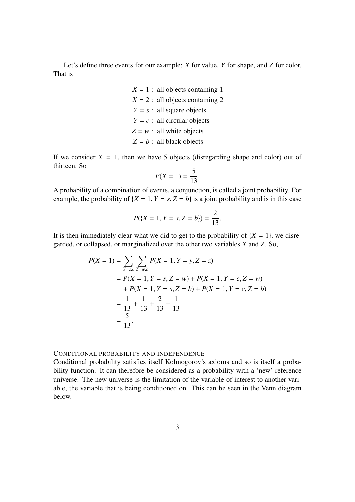Let's define three events for our example: *X* for value, *Y* for shape, and *Z* for color. That is

> $X = 1$ : all objects containing 1  $X = 2$ : all objects containing 2  $Y = s$ : all square objects  $Y = c$ : all circular objects  $Z = w$ : all white objects  $Z = b$ : all black objects

If we consider  $X = 1$ , then we have 5 objects (disregarding shape and color) out of thirteen. So

$$
P(X=1) = \frac{5}{13}
$$

A probability of a combination of events, a conjunction, is called a joint probability. For example, the probability of  $\{X = 1, Y = s, Z = b\}$  is a joint probability and is in this case

$$
P(\{X=1, Y=s, Z=b\})=\frac{2}{13}.
$$

It is then immediately clear what we did to get to the probability of  ${X = 1}$ , we disregarded, or collapsed, or marginalized over the other two variables *X* and *Z*. So,

$$
P(X = 1) = \sum_{Y=s,c} \sum_{Z=w,b} P(X = 1, Y = y, Z = z)
$$
  
=  $P(X = 1, Y = s, Z = w) + P(X = 1, Y = c, Z = w)$   
+  $P(X = 1, Y = s, Z = b) + P(X = 1, Y = c, Z = b)$   
=  $\frac{1}{13} + \frac{1}{13} + \frac{2}{13} + \frac{1}{13}$   
=  $\frac{5}{13}$ .

# CONDITIONAL PROBABILITY AND INDEPENDENCE

Conditional probability satisfies itself Kolmogorov's axioms and so is itself a probability function. It can therefore be considered as a probability with a 'new' reference universe. The new universe is the limitation of the variable of interest to another variable, the variable that is being conditioned on. This can be seen in the Venn diagram below.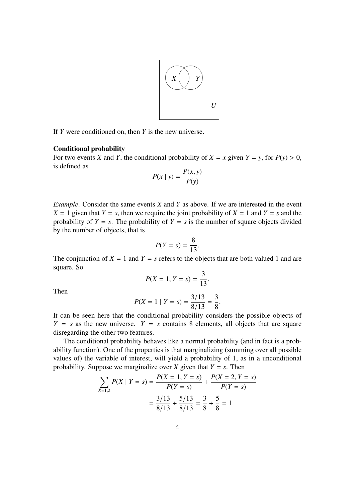

If *Y* were conditioned on, then *Y* is the new universe.

### Conditional probability

For two events *X* and *Y*, the conditional probability of  $X = x$  given  $Y = y$ , for  $P(y) > 0$ , is defined as

$$
P(x \mid y) = \frac{P(x, y)}{P(y)}
$$

*Example*. Consider the same events *X* and *Y* as above. If we are interested in the event  $X = 1$  given that  $Y = s$ , then we require the joint probability of  $X = 1$  and  $Y = s$  and the probability of  $Y = s$ . The probability of  $Y = s$  is the number of square objects divided by the number of objects, that is

$$
P(Y=s)=\frac{8}{13}.
$$

The conjunction of  $X = 1$  and  $Y = s$  refers to the objects that are both valued 1 and are square. So

$$
P(X = 1, Y = s) = \frac{3}{13}.
$$

Then

$$
P(X = 1 | Y = s) = \frac{3/13}{8/13} = \frac{3}{8}.
$$

It can be seen here that the conditional probability considers the possible objects of  $Y = s$  as the new universe.  $Y = s$  contains 8 elements, all objects that are square disregarding the other two features.

The conditional probability behaves like a normal probability (and in fact is a probability function). One of the properties is that marginalizing (summing over all possible values of) the variable of interest, will yield a probability of 1, as in a unconditional probability. Suppose we marginalize over *X* given that  $Y = s$ . Then

$$
\sum_{X=1,2} P(X \mid Y=s) = \frac{P(X=1, Y=s)}{P(Y=s)} + \frac{P(X=2, Y=s)}{P(Y=s)}
$$

$$
= \frac{3/13}{8/13} + \frac{5/13}{8/13} = \frac{3}{8} + \frac{5}{8} = 1
$$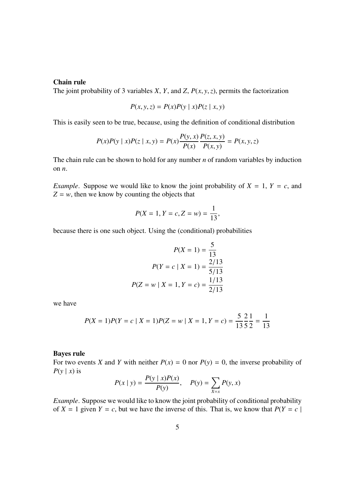# Chain rule

The joint probability of 3 variables *X*, *Y*, and *Z*,  $P(x, y, z)$ , permits the factorization

$$
P(x, y, z) = P(x)P(y | x)P(z | x, y)
$$

This is easily seen to be true, because, using the definition of conditional distribution

$$
P(x)P(y \mid x)P(z \mid x, y) = P(x)\frac{P(y, x)}{P(x)}\frac{P(z, x, y)}{P(x, y)} = P(x, y, z)
$$

The chain rule can be shown to hold for any number *n* of random variables by induction on *n*.

*Example*. Suppose we would like to know the joint probability of  $X = 1$ ,  $Y = c$ , and  $Z = w$ , then we know by counting the objects that

$$
P(X = 1, Y = c, Z = w) = \frac{1}{13},
$$

because there is one such object. Using the (conditional) probabilities

$$
P(X = 1) = \frac{5}{13}
$$

$$
P(Y = c | X = 1) = \frac{2/13}{5/13}
$$

$$
P(Z = w | X = 1, Y = c) = \frac{1/13}{2/13}
$$

we have

$$
P(X = 1)P(Y = c | X = 1)P(Z = w | X = 1, Y = c) = \frac{5}{13} \cdot \frac{2}{5} \cdot \frac{1}{2} = \frac{1}{13}
$$

#### Bayes rule

For two events *X* and *Y* with neither  $P(x) = 0$  nor  $P(y) = 0$ , the inverse probability of  $P(y | x)$  is *P*(*y* | *x*)*P*(*x*)

$$
P(x | y) = \frac{P(y | x)P(x)}{P(y)}, \quad P(y) = \sum_{X=x} P(y, x)
$$

*Example*. Suppose we would like to know the joint probability of conditional probability of  $X = 1$  given  $Y = c$ , but we have the inverse of this. That is, we know that  $P(Y = c |$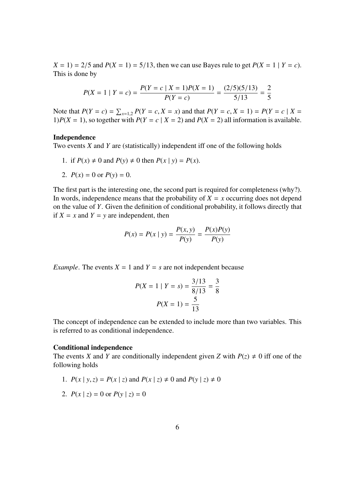$X = 1$  = 2/5 and  $P(X = 1) = 5/13$ , then we can use Bayes rule to get  $P(X = 1 | Y = c)$ . This is done by

$$
P(X = 1 | Y = c) = \frac{P(Y = c | X = 1)P(X = 1)}{P(Y = c)} = \frac{(2/5)(5/13)}{5/13} = \frac{2}{5}
$$

Note that  $P(Y = c) = \sum_{x=1,2} P(Y = c, X = x)$  and that  $P(Y = c, X = 1) = P(Y = c | X = 1)P(Y = 1)$  so together with  $P(Y = c | X = 2)$  and  $P(Y = 2)$  all information is available. 1)*P*(*X* = 1), so together with *P*(*Y* = *c* | *X* = 2) and *P*(*X* = 2) all information is available.

#### Independence

Two events *X* and *Y* are (statistically) independent iff one of the following holds

- 1. if  $P(x) \neq 0$  and  $P(y) \neq 0$  then  $P(x | y) = P(x)$ .
- 2.  $P(x) = 0$  or  $P(y) = 0$ .

The first part is the interesting one, the second part is required for completeness (why?). In words, independence means that the probability of  $X = x$  occurring does not depend on the value of *Y*. Given the definition of conditional probability, it follows directly that if  $X = x$  and  $Y = y$  are independent, then

$$
P(x) = P(x | y) = \frac{P(x, y)}{P(y)} = \frac{P(x)P(y)}{P(y)}
$$

*Example*. The events  $X = 1$  and  $Y = s$  are not independent because

$$
P(X = 1 | Y = s) = \frac{3/13}{8/13} = \frac{3}{8}
$$

$$
P(X = 1) = \frac{5}{13}
$$

The concept of independence can be extended to include more than two variables. This is referred to as conditional independence.

#### Conditional independence

The events *X* and *Y* are conditionally independent given *Z* with  $P(z) \neq 0$  iff one of the following holds

- 1.  $P(x | y, z) = P(x | z)$  and  $P(x | z) \neq 0$  and  $P(y | z) \neq 0$
- 2.  $P(x | z) = 0$  or  $P(y | z) = 0$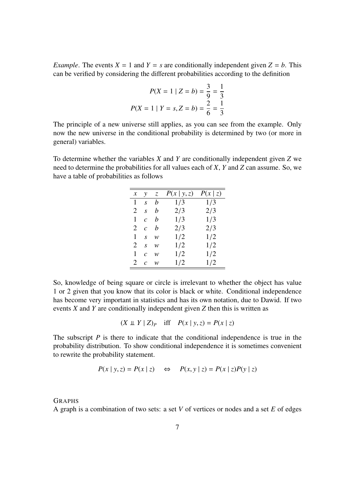*Example*. The events  $X = 1$  and  $Y = s$  are conditionally independent given  $Z = b$ . This can be verified by considering the different probabilities according to the definition

$$
P(X = 1 | Z = b) = \frac{3}{9} = \frac{1}{3}
$$

$$
P(X = 1 | Y = s, Z = b) = \frac{2}{6} = \frac{1}{3}
$$

The principle of a new universe still applies, as you can see from the example. Only now the new universe in the conditional probability is determined by two (or more in general) variables.

To determine whether the variables *X* and *Y* are conditionally independent given *Z* we need to determine the probabilities for all values each of *X*, *Y* and *Z* can assume. So, we have a table of probabilities as follows

| $\boldsymbol{\mathcal{X}}$ | y              | Z. | P(x   y, z) | P(x   z) |
|----------------------------|----------------|----|-------------|----------|
| 1                          | S              | h  | 1/3         | 1/3      |
| 2                          | S              | h  | 2/3         | 2/3      |
| 1                          | $\mathcal{C}$  | h  | 1/3         | 1/3      |
| 2                          | $\overline{c}$ | h  | 2/3         | 2/3      |
| 1                          | S.             | w  | 1/2         | 1/2      |
| 2                          | $\mathcal{S}$  | w  | 1/2         | 1/2      |
| 1                          | $\mathcal{C}$  | w  | 1/2         | 1/2      |
| 2                          | $\mathcal{C}$  | w  | 1/2         | 1/2      |
|                            |                |    |             |          |

So, knowledge of being square or circle is irrelevant to whether the object has value 1 or 2 given that you know that its color is black or white. Conditional independence has become very important in statistics and has its own notation, due to Dawid. If two events *X* and *Y* are conditionally independent given *Z* then this is written as

$$
(X \perp\!\!\!\perp Y \mid Z)_P \quad \text{iff} \quad P(x \mid y, z) = P(x \mid z)
$$

The subscript *P* is there to indicate that the conditional independence is true in the probability distribution. To show conditional independence it is sometimes convenient to rewrite the probability statement.

$$
P(x | y, z) = P(x | z) \quad \Leftrightarrow \quad P(x, y | z) = P(x | z)P(y | z)
$$

# GRAPHS

A graph is a combination of two sets: a set *V* of vertices or nodes and a set *E* of edges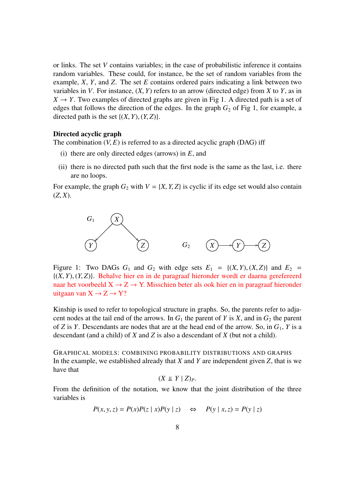or links. The set *V* contains variables; in the case of probabilistic inference it contains random variables. These could, for instance, be the set of random variables from the example, *X*, *Y*, and *Z*. The set *E* contains ordered pairs indicating a link between two variables in *<sup>V</sup>*. For instance, (*X*, *<sup>Y</sup>*) refers to an arrow (directed edge) from *<sup>X</sup>* to *<sup>Y</sup>*, as in  $X \rightarrow Y$ . Two examples of directed graphs are given in Fig 1. A directed path is a set of edges that follows the direction of the edges. In the graph  $G_2$  of Fig 1, for example, a directed path is the set  $\{(X, Y), (Y, Z)\}.$ 

# Directed acyclic graph

The combination  $(V, E)$  is referred to as a directed acyclic graph (DAG) iff

- (i) there are only directed edges (arrows) in *E*, and
- (ii) there is no directed path such that the first node is the same as the last, i.e. there are no loops.

For example, the graph  $G_2$  with  $V = \{X, Y, Z\}$  is cyclic if its edge set would also contain  $(Z, X)$ .



Figure 1: Two DAGs  $G_1$  and  $G_2$  with edge sets  $E_1 = \{(X, Y), (X, Z)\}$  and  $E_2 =$ {(*X*, *<sup>Y</sup>*), (*Y*, *<sup>Z</sup>*)}. Behalve hier en in de paragraaf hieronder wordt er daarna gerefereerd naar het voorbeeld  $X \rightarrow Z \rightarrow Y$ . Misschien beter als ook hier en in paragraaf hieronder uitgaan van  $X \rightarrow Z \rightarrow Y$ ?

Kinship is used to refer to topological structure in graphs. So, the parents refer to adjacent nodes at the tail end of the arrows. In  $G_1$  the parent of *Y* is *X*, and in  $G_2$  the parent of *Z* is *Y*. Descendants are nodes that are at the head end of the arrow. So, in  $G_1$ , *Y* is a descendant (and a child) of *X* and *Z* is also a descendant of *X* (but not a child).

GRAPHICAL MODELS: COMBINING PROBABILITY DISTRIBUTIONS AND GRAPHS In the example, we established already that *X* and *Y* are independent given *Z*, that is we have that

$$
(X \perp\!\!\!\perp Y \mid Z)_P.
$$

From the definition of the notation, we know that the joint distribution of the three variables is

$$
P(x, y, z) = P(x)P(z | x)P(y | z) \quad \Leftrightarrow \quad P(y | x, z) = P(y | z)
$$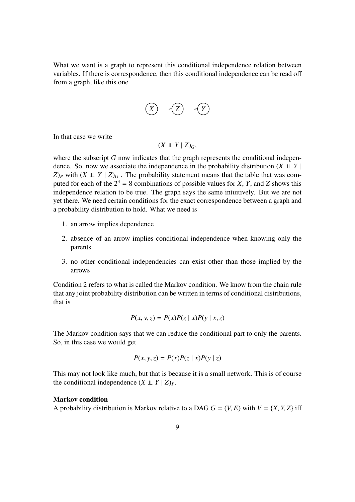What we want is a graph to represent this conditional independence relation between variables. If there is correspondence, then this conditional independence can be read off from a graph, like this one



In that case we write

 $(X \perp Y \mid Z)$ <sub>*G*</sub>,

where the subscript *G* now indicates that the graph represents the conditional independence. So, now we associate the independence in the probability distribution  $(X \perp Y)$  $Z$ )*P* with  $(X \perp Y | Z)$ <sub>G</sub>. The probability statement means that the table that was computed for each of the  $2^3 = 8$  combinations of possible values for *X*, *Y*, and *Z* shows this independence relation to be true. The graph says the same intuitively. But we are not yet there. We need certain conditions for the exact correspondence between a graph and a probability distribution to hold. What we need is

- 1. an arrow implies dependence
- 2. absence of an arrow implies conditional independence when knowing only the parents
- 3. no other conditional independencies can exist other than those implied by the arrows

Condition 2 refers to what is called the Markov condition. We know from the chain rule that any joint probability distribution can be written in terms of conditional distributions, that is

$$
P(x, y, z) = P(x)P(z | x)P(y | x, z)
$$

The Markov condition says that we can reduce the conditional part to only the parents. So, in this case we would get

$$
P(x, y, z) = P(x)P(z | x)P(y | z)
$$

This may not look like much, but that is because it is a small network. This is of course the conditional independence  $(X \perp Y | Z)_P$ .

#### Markov condition

A probability distribution is Markov relative to a DAG  $G = (V, E)$  with  $V = \{X, Y, Z\}$  iff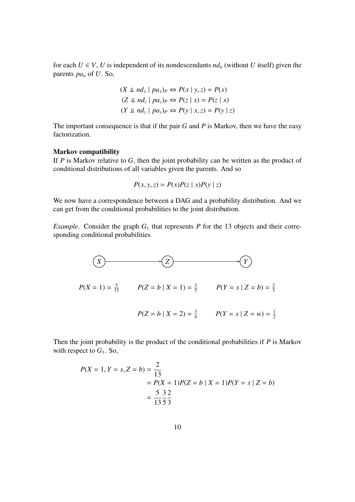for each  $U \in V$ , *U* is independent of its nondescendants  $nd_u$  (without *U* itself) given the parents *pa<sup>u</sup>* of *U*. So,

$$
(X \perp m d_x | pa_x)P \Leftrightarrow P(x | y, z) = P(x)
$$
  
\n
$$
(Z \perp m d_z | pa_z)P \Leftrightarrow P(z | x) = P(z | x)
$$
  
\n
$$
(Y \perp m d_y | pa_y)P \Leftrightarrow P(y | x, z) = P(y | z)
$$

The important consequence is that if the pair *G* and *P* is Markov, then we have the easy factorization.

### Markov compatibility

If *P* is Markov relative to *G*, then the joint probability can be written as the product of conditional distributions of all variables given the parents. And so

$$
P(x, y, z) = P(x)P(z | x)P(y | z)
$$

We now have a correspondence between a DAG and a probability distribution. And we can get from the conditional probabilities to the joint distribution.

*Example*. Consider the graph  $G_1$  that represents *P* for the 13 objects and their corresponding conditional probabilities



Then the joint probability is the product of the conditional probabilities if *P* is Markov with respect to  $G_1$ . So,

$$
P(X = 1, Y = s, Z = b) = \frac{2}{13}
$$
  
=  $P(X = 1)P(Z = b | X = 1)P(Y = s | Z = b)$   
=  $\frac{5}{13} \frac{3}{5} \frac{2}{3}$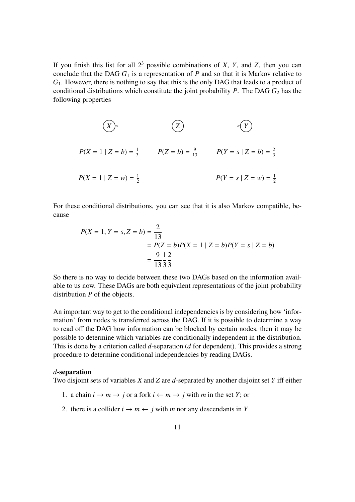If you finish this list for all  $2<sup>3</sup>$  possible combinations of *X*, *Y*, and *Z*, then you can conclude that the DAG  $G_1$  is a representation of  $P$  and so that it is Markov relative to *G*1. However, there is nothing to say that this is the only DAG that leads to a product of conditional distributions which constitute the joint probability  $P$ . The DAG  $G_2$  has the following properties



For these conditional distributions, you can see that it is also Markov compatible, because

$$
P(X = 1, Y = s, Z = b) = \frac{2}{13}
$$
  
=  $P(Z = b)P(X = 1 | Z = b)P(Y = s | Z = b)$   
=  $\frac{9}{13} \frac{12}{33}$ 

So there is no way to decide between these two DAGs based on the information available to us now. These DAGs are both equivalent representations of the joint probability distribution *P* of the objects.

An important way to get to the conditional independencies is by considering how 'information' from nodes is transferred across the DAG. If it is possible to determine a way to read off the DAG how information can be blocked by certain nodes, then it may be possible to determine which variables are conditionally independent in the distribution. This is done by a criterion called *d*-separation (*d* for dependent). This provides a strong procedure to determine conditional independencies by reading DAGs.

# *d*-separation

Two disjoint sets of variables *X* and *Z* are *d*-separated by another disjoint set *Y* iff either

- 1. a chain  $i \rightarrow m \rightarrow i$  or a fork  $i \leftarrow m \rightarrow i$  with m in the set *Y*; or
- 2. there is a collider  $i \rightarrow m \leftarrow j$  with *m* nor any descendants in *Y*